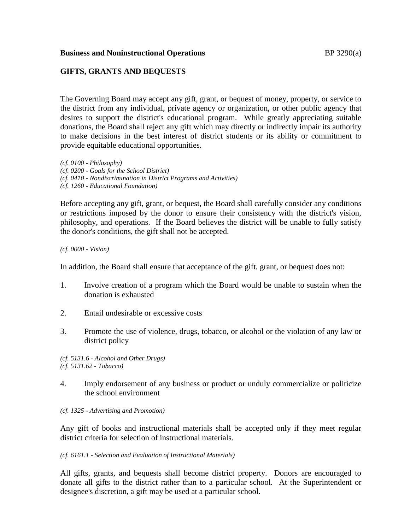### **Business and Noninstructional Operations BP** 3290(a)

# **GIFTS, GRANTS AND BEQUESTS**

The Governing Board may accept any gift, grant, or bequest of money, property, or service to the district from any individual, private agency or organization, or other public agency that desires to support the district's educational program. While greatly appreciating suitable donations, the Board shall reject any gift which may directly or indirectly impair its authority to make decisions in the best interest of district students or its ability or commitment to provide equitable educational opportunities.

*(cf. 0100 - Philosophy) (cf. 0200 - Goals for the School District) (cf. 0410 - Nondiscrimination in District Programs and Activities) (cf. 1260 - Educational Foundation)*

Before accepting any gift, grant, or bequest, the Board shall carefully consider any conditions or restrictions imposed by the donor to ensure their consistency with the district's vision, philosophy, and operations. If the Board believes the district will be unable to fully satisfy the donor's conditions, the gift shall not be accepted.

*(cf. 0000 - Vision)*

In addition, the Board shall ensure that acceptance of the gift, grant, or bequest does not:

- 1. Involve creation of a program which the Board would be unable to sustain when the donation is exhausted
- 2. Entail undesirable or excessive costs
- 3. Promote the use of violence, drugs, tobacco, or alcohol or the violation of any law or district policy

*(cf. 5131.6 - Alcohol and Other Drugs) (cf. 5131.62 - Tobacco)*

- 4. Imply endorsement of any business or product or unduly commercialize or politicize the school environment
- *(cf. 1325 - Advertising and Promotion)*

Any gift of books and instructional materials shall be accepted only if they meet regular district criteria for selection of instructional materials.

#### *(cf. 6161.1 - Selection and Evaluation of Instructional Materials)*

All gifts, grants, and bequests shall become district property. Donors are encouraged to donate all gifts to the district rather than to a particular school. At the Superintendent or designee's discretion, a gift may be used at a particular school.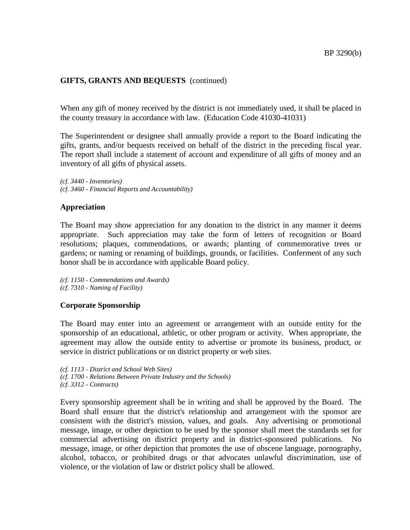## **GIFTS, GRANTS AND BEQUESTS** (continued)

When any gift of money received by the district is not immediately used, it shall be placed in the county treasury in accordance with law. (Education Code 41030-41031)

The Superintendent or designee shall annually provide a report to the Board indicating the gifts, grants, and/or bequests received on behalf of the district in the preceding fiscal year. The report shall include a statement of account and expenditure of all gifts of money and an inventory of all gifts of physical assets.

*(cf. 3440 - Inventories) (cf. 3460 - Financial Reports and Accountability)*

#### **Appreciation**

The Board may show appreciation for any donation to the district in any manner it deems appropriate. Such appreciation may take the form of letters of recognition or Board resolutions; plaques, commendations, or awards; planting of commemorative trees or gardens; or naming or renaming of buildings, grounds, or facilities. Conferment of any such honor shall be in accordance with applicable Board policy.

*(cf. 1150 - Commendations and Awards) (cf. 7310 - Naming of Facility)*

### **Corporate Sponsorship**

The Board may enter into an agreement or arrangement with an outside entity for the sponsorship of an educational, athletic, or other program or activity. When appropriate, the agreement may allow the outside entity to advertise or promote its business, product, or service in district publications or on district property or web sites.

*(cf. 1113 - District and School Web Sites) (cf. 1700 - Relations Between Private Industry and the Schools) (cf. 3312 - Contracts)*

Every sponsorship agreement shall be in writing and shall be approved by the Board. The Board shall ensure that the district's relationship and arrangement with the sponsor are consistent with the district's mission, values, and goals. Any advertising or promotional message, image, or other depiction to be used by the sponsor shall meet the standards set for commercial advertising on district property and in district-sponsored publications. No message, image, or other depiction that promotes the use of obscene language, pornography, alcohol, tobacco, or prohibited drugs or that advocates unlawful discrimination, use of violence, or the violation of law or district policy shall be allowed.